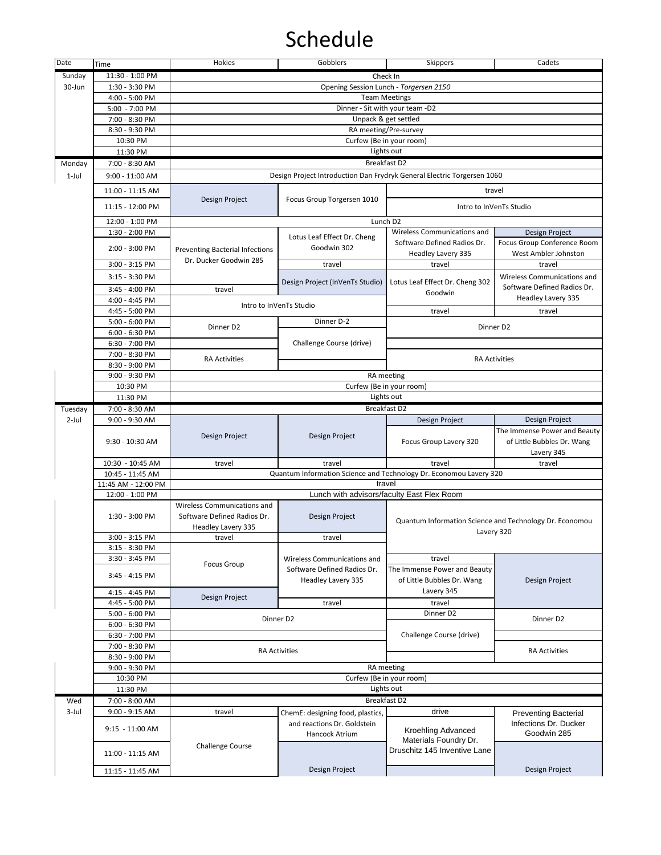| Date     | Time                             | Hokies                                                                  | Gobblers                                          | <b>Skippers</b>                                                             | Cadets                                                  |  |
|----------|----------------------------------|-------------------------------------------------------------------------|---------------------------------------------------|-----------------------------------------------------------------------------|---------------------------------------------------------|--|
| Sunday   | 11:30 - 1:00 PM                  | Check In                                                                |                                                   |                                                                             |                                                         |  |
| 30-Jun   | 1:30 - 3:30 PM                   |                                                                         | Opening Session Lunch - Torgersen 2150            |                                                                             |                                                         |  |
|          | 4:00 - 5:00 PM                   | <b>Team Meetings</b>                                                    |                                                   |                                                                             |                                                         |  |
|          | 5:00 - 7:00 PM                   | Dinner - Sit with your team -D2                                         |                                                   |                                                                             |                                                         |  |
|          | 7:00 - 8:30 PM                   | Unpack & get settled                                                    |                                                   |                                                                             |                                                         |  |
|          | 8:30 - 9:30 PM                   |                                                                         | RA meeting/Pre-survey                             |                                                                             |                                                         |  |
|          | 10:30 PM                         | Curfew (Be in your room)                                                |                                                   |                                                                             |                                                         |  |
|          | 11:30 PM                         | Lights out                                                              |                                                   |                                                                             |                                                         |  |
| Monday   | 7:00 - 8:30 AM                   | <b>Breakfast D2</b>                                                     |                                                   |                                                                             |                                                         |  |
| $1$ -Jul | $9:00 - 11:00$ AM                | Design Project Introduction Dan Frydryk General Electric Torgersen 1060 |                                                   |                                                                             |                                                         |  |
|          |                                  |                                                                         |                                                   |                                                                             |                                                         |  |
|          | 11:00 - 11:15 AM                 | Design Project                                                          | Focus Group Torgersen 1010                        | travel                                                                      |                                                         |  |
|          | 11:15 - 12:00 PM                 |                                                                         |                                                   | Intro to InVenTs Studio                                                     |                                                         |  |
|          | 12:00 - 1:00 PM                  |                                                                         | Lunch D2                                          |                                                                             |                                                         |  |
|          | 1:30 - 2:00 PM                   |                                                                         |                                                   | Wireless Communications and                                                 | Design Project                                          |  |
|          |                                  |                                                                         | Lotus Leaf Effect Dr. Cheng<br>Goodwin 302        | Software Defined Radios Dr.                                                 | Focus Group Conference Room                             |  |
|          | 2:00 - 3:00 PM                   | <b>Preventing Bacterial Infections</b>                                  |                                                   | Headley Lavery 335                                                          | West Ambler Johnston                                    |  |
|          | 3:00 - 3:15 PM                   | Dr. Ducker Goodwin 285                                                  | travel                                            | travel                                                                      | travel                                                  |  |
|          | 3:15 - 3:30 PM                   |                                                                         |                                                   |                                                                             | Wireless Communications and                             |  |
|          | 3:45 - 4:00 PM                   |                                                                         | Design Project (InVenTs Studio)                   | Lotus Leaf Effect Dr. Cheng 302                                             | Software Defined Radios Dr.                             |  |
|          | 4:00 - 4:45 PM                   | travel                                                                  |                                                   | Goodwin                                                                     | Headley Lavery 335                                      |  |
|          | 4:45 - 5:00 PM                   |                                                                         | Intro to InVenTs Studio                           | travel                                                                      | travel                                                  |  |
|          | $5:00 - 6:00$ PM                 |                                                                         | Dinner D-2                                        |                                                                             |                                                         |  |
|          | 6:00 - 6:30 PM                   | Dinner D2                                                               |                                                   |                                                                             | Dinner D2                                               |  |
|          | 6:30 - 7:00 PM                   |                                                                         | Challenge Course (drive)                          |                                                                             |                                                         |  |
|          | 7:00 - 8:30 PM                   |                                                                         |                                                   |                                                                             |                                                         |  |
|          | 8:30 - 9:00 PM                   | <b>RA Activities</b>                                                    |                                                   |                                                                             | <b>RA Activities</b>                                    |  |
|          | 9:00 - 9:30 PM                   |                                                                         |                                                   | RA meeting                                                                  |                                                         |  |
|          | 10:30 PM                         | Curfew (Be in your room)                                                |                                                   |                                                                             |                                                         |  |
|          | 11:30 PM                         | Lights out                                                              |                                                   |                                                                             |                                                         |  |
| Tuesday  | 7:00 - 8:30 AM                   |                                                                         |                                                   | Breakfast D2                                                                |                                                         |  |
| $2$ -Jul | 9:00 - 9:30 AM                   |                                                                         |                                                   | Design Project                                                              | Design Project                                          |  |
|          |                                  |                                                                         |                                                   |                                                                             | The Immense Power and Beauty                            |  |
|          | 9:30 - 10:30 AM                  | Design Project                                                          | Design Project                                    | Focus Group Lavery 320                                                      | of Little Bubbles Dr. Wang                              |  |
|          |                                  |                                                                         |                                                   |                                                                             | Lavery 345                                              |  |
|          | 10:30 - 10:45 AM                 | travel                                                                  | travel                                            | travel                                                                      | travel                                                  |  |
|          | 10:45 - 11:45 AM                 |                                                                         |                                                   | Quantum Information Science and Technology Dr. Economou Lavery 320          |                                                         |  |
|          | 11:45 AM - 12:00 PM              |                                                                         | travel                                            |                                                                             |                                                         |  |
|          | 12:00 - 1:00 PM                  |                                                                         | Lunch with advisors/faculty East Flex Room        |                                                                             |                                                         |  |
|          |                                  | Wireless Communications and                                             |                                                   |                                                                             |                                                         |  |
|          | 1:30 - 3:00 PM                   | Software Defined Radios Dr.                                             | Design Project                                    |                                                                             | Quantum Information Science and Technology Dr. Economou |  |
|          |                                  | Headley Lavery 335                                                      |                                                   | Lavery 320                                                                  |                                                         |  |
|          | 3:00 - 3:15 PM                   | travel                                                                  | travel                                            |                                                                             |                                                         |  |
|          | 3:15 - 3:30 PM                   |                                                                         |                                                   |                                                                             |                                                         |  |
|          | 3:30 - 3:45 PM                   | Focus Group                                                             | Wireless Communications and                       | travel                                                                      |                                                         |  |
|          | 3:45 - 4:15 PM                   |                                                                         | Software Defined Radios Dr.<br>Headley Lavery 335 | The Immense Power and Beauty<br>of Little Bubbles Dr. Wang<br>Lavery 345    | Design Project                                          |  |
|          |                                  |                                                                         |                                                   |                                                                             |                                                         |  |
|          | 4:15 - 4:45 PM                   | Design Project                                                          |                                                   |                                                                             |                                                         |  |
|          | 4:45 - 5:00 PM<br>5:00 - 6:00 PM |                                                                         | travel                                            | travel<br>Dinner D2                                                         |                                                         |  |
|          | 6:00 - 6:30 PM                   |                                                                         | Dinner D2                                         |                                                                             | Dinner D2                                               |  |
|          | 6:30 - 7:00 PM                   |                                                                         |                                                   | Challenge Course (drive)                                                    |                                                         |  |
|          | 7:00 - 8:30 PM                   |                                                                         |                                                   |                                                                             |                                                         |  |
|          | 8:30 - 9:00 PM                   | <b>RA Activities</b>                                                    |                                                   |                                                                             | <b>RA Activities</b>                                    |  |
|          | 9:00 - 9:30 PM                   |                                                                         |                                                   | RA meeting                                                                  |                                                         |  |
|          | 10:30 PM                         |                                                                         |                                                   | Curfew (Be in your room)                                                    |                                                         |  |
|          | 11:30 PM                         | Lights out                                                              |                                                   |                                                                             |                                                         |  |
| Wed      | 7:00 - 8:00 AM                   | <b>Breakfast D2</b>                                                     |                                                   |                                                                             |                                                         |  |
| $3$ -Jul | 9:00 - 9:15 AM                   | travel                                                                  | ChemE: designing food, plastics,                  | drive                                                                       | <b>Preventing Bacterial</b>                             |  |
|          | 9:15 - 11:00 AM                  |                                                                         | and reactions Dr. Goldstein<br>Hancock Atrium     | Kroehling Advanced<br>Materials Foundry Dr.<br>Druschitz 145 Inventive Lane | Infections Dr. Ducker                                   |  |
|          |                                  | <b>Challenge Course</b>                                                 |                                                   |                                                                             | Goodwin 285                                             |  |
|          |                                  |                                                                         |                                                   |                                                                             |                                                         |  |
|          | 11:00 - 11:15 AM                 |                                                                         |                                                   |                                                                             |                                                         |  |
|          |                                  |                                                                         | Design Project                                    |                                                                             | Design Project                                          |  |
|          | 11:15 - 11:45 AM                 |                                                                         |                                                   |                                                                             |                                                         |  |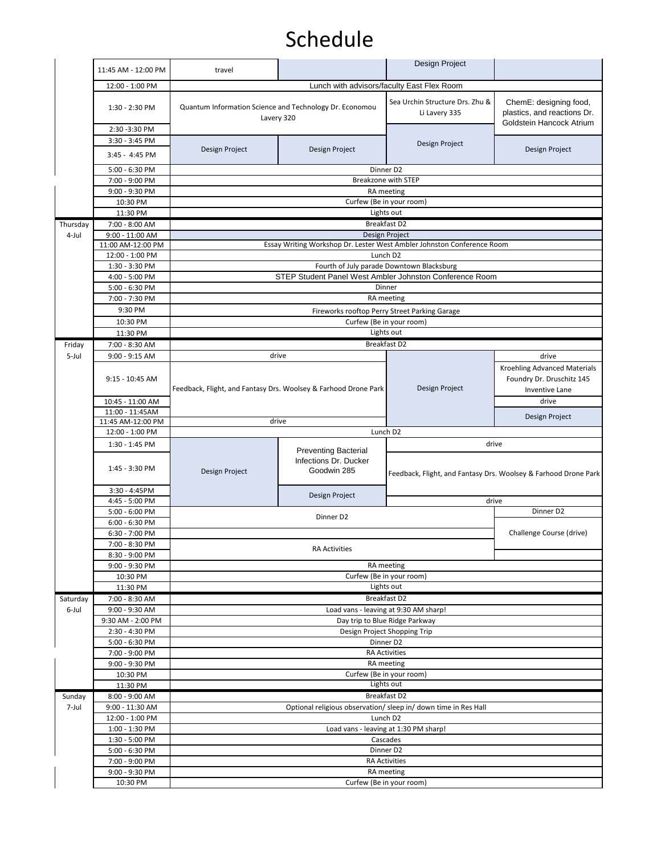|          | 11:45 AM - 12:00 PM                                | travel                                                                |                                                                     | Design Project                                                         |                                                                                    |
|----------|----------------------------------------------------|-----------------------------------------------------------------------|---------------------------------------------------------------------|------------------------------------------------------------------------|------------------------------------------------------------------------------------|
|          | 12:00 - 1:00 PM                                    |                                                                       | Lunch with advisors/faculty East Flex Room                          |                                                                        |                                                                                    |
|          | 1:30 - 2:30 PM                                     | Quantum Information Science and Technology Dr. Economou<br>Lavery 320 |                                                                     | Sea Urchin Structure Drs. Zhu &<br>Li Lavery 335                       | ChemE: designing food,<br>plastics, and reactions Dr.<br>Goldstein Hancock Atrium  |
|          | 2:30 - 3:30 PM<br>3:30 - 3:45 PM<br>3:45 - 4:45 PM | Design Project                                                        | Design Project                                                      | Design Project                                                         | Design Project                                                                     |
|          | 5:00 - 6:30 PM                                     |                                                                       |                                                                     | Dinner D2                                                              |                                                                                    |
|          | 7:00 - 9:00 PM                                     |                                                                       |                                                                     | <b>Breakzone with STEP</b>                                             |                                                                                    |
|          | 9:00 - 9:30 PM                                     |                                                                       | Curfew (Be in your room)                                            | RA meeting                                                             |                                                                                    |
|          | 10:30 PM<br>11:30 PM                               |                                                                       |                                                                     | Lights out                                                             |                                                                                    |
| Thursday | 7:00 - 8:00 AM                                     |                                                                       |                                                                     | <b>Breakfast D2</b>                                                    |                                                                                    |
| 4-Jul    | 9:00 - 11:00 AM                                    |                                                                       |                                                                     | Design Project                                                         |                                                                                    |
|          | 11:00 AM-12:00 PM                                  |                                                                       |                                                                     | Essay Writing Workshop Dr. Lester West Ambler Johnston Conference Room |                                                                                    |
|          | 12:00 - 1:00 PM                                    |                                                                       | Lunch D2                                                            |                                                                        |                                                                                    |
|          | 1:30 - 3:30 PM                                     |                                                                       |                                                                     | Fourth of July parade Downtown Blacksburg                              |                                                                                    |
|          | 4:00 - 5:00 PM<br>5:00 - 6:30 PM                   |                                                                       |                                                                     | STEP Student Panel West Ambler Johnston Conference Room<br>Dinner      |                                                                                    |
|          | 7:00 - 7:30 PM                                     |                                                                       |                                                                     | RA meeting                                                             |                                                                                    |
|          | 9:30 PM                                            |                                                                       |                                                                     | Fireworks rooftop Perry Street Parking Garage                          |                                                                                    |
|          | 10:30 PM                                           |                                                                       | Curfew (Be in your room)                                            |                                                                        |                                                                                    |
|          | 11:30 PM                                           |                                                                       |                                                                     | Lights out                                                             |                                                                                    |
| Friday   | 7:00 - 8:30 AM                                     |                                                                       |                                                                     | Breakfast D2                                                           |                                                                                    |
| 5-Jul    | 9:00 - 9:15 AM                                     |                                                                       | drive                                                               |                                                                        | drive                                                                              |
|          | 9:15 - 10:45 AM                                    | Feedback, Flight, and Fantasy Drs. Woolsey & Farhood Drone Park       |                                                                     | Design Project                                                         | Kroehling Advanced Materials<br>Foundry Dr. Druschitz 145<br><b>Inventive Lane</b> |
|          | 10:45 - 11:00 AM                                   |                                                                       |                                                                     |                                                                        | drive                                                                              |
|          | 11:00 - 11:45AM<br>11:45 AM-12:00 PM               |                                                                       |                                                                     | Design Project                                                         |                                                                                    |
|          | 12:00 - 1:00 PM                                    | drive<br>Lunch D2                                                     |                                                                     |                                                                        |                                                                                    |
|          |                                                    |                                                                       |                                                                     |                                                                        |                                                                                    |
|          | 1:30 - 1:45 PM                                     |                                                                       |                                                                     |                                                                        | drive                                                                              |
|          | 1:45 - 3:30 PM                                     | Design Project                                                        | <b>Preventing Bacterial</b><br>Infections Dr. Ducker<br>Goodwin 285 |                                                                        | Feedback, Flight, and Fantasy Drs. Woolsey & Farhood Drone Park                    |
|          | 3:30 - 4:45PM                                      |                                                                       |                                                                     |                                                                        |                                                                                    |
|          | 4:45 - 5:00 PM                                     |                                                                       | Design Project                                                      |                                                                        | drive                                                                              |
|          | 5:00 - 6:00 PM                                     |                                                                       | Dinner D2                                                           |                                                                        | Dinner D2                                                                          |
|          | 6:00 - 6:30 PM                                     |                                                                       |                                                                     |                                                                        |                                                                                    |
|          | 6:30 - 7:00 PM                                     |                                                                       |                                                                     |                                                                        | Challenge Course (drive)                                                           |
|          | 7:00 - 8:30 PM<br>8:30 - 9:00 PM                   |                                                                       | <b>RA Activities</b>                                                |                                                                        |                                                                                    |
|          | 9:00 - 9:30 PM                                     |                                                                       |                                                                     | RA meeting                                                             |                                                                                    |
|          | 10:30 PM                                           |                                                                       |                                                                     | Curfew (Be in your room)                                               |                                                                                    |
|          | 11:30 PM                                           |                                                                       |                                                                     | Lights out                                                             |                                                                                    |
| Saturday | 7:00 - 8:30 AM                                     |                                                                       |                                                                     | Breakfast D2                                                           |                                                                                    |
| 6-Jul    | 9:00 - 9:30 AM                                     |                                                                       |                                                                     | Load vans - leaving at 9:30 AM sharp!                                  |                                                                                    |
|          | 9:30 AM - 2:00 PM                                  |                                                                       |                                                                     | Day trip to Blue Ridge Parkway                                         |                                                                                    |
|          | 2:30 - 4:30 PM                                     |                                                                       |                                                                     | Design Project Shopping Trip                                           |                                                                                    |
|          | 5:00 - 6:30 PM                                     |                                                                       |                                                                     | Dinner D2<br><b>RA Activities</b>                                      |                                                                                    |
|          | 7:00 - 9:00 PM<br>9:00 - 9:30 PM                   |                                                                       |                                                                     | RA meeting                                                             |                                                                                    |
|          | 10:30 PM                                           |                                                                       | Curfew (Be in your room)                                            |                                                                        |                                                                                    |
|          | 11:30 PM                                           |                                                                       |                                                                     | Lights out                                                             |                                                                                    |
| Sunday   | 8:00 - 9:00 AM                                     |                                                                       |                                                                     | Breakfast D2                                                           |                                                                                    |
| 7-Jul    | 9:00 - 11:30 AM                                    |                                                                       |                                                                     | Optional religious observation/ sleep in/ down time in Res Hall        |                                                                                    |
|          | 12:00 - 1:00 PM                                    |                                                                       |                                                                     | Lunch D2                                                               |                                                                                    |
|          | 1:00 - 1:30 PM                                     |                                                                       |                                                                     | Load vans - leaving at 1:30 PM sharp!                                  |                                                                                    |
|          | 1:30 - 5:00 PM                                     |                                                                       | Cascades                                                            |                                                                        |                                                                                    |
|          | 5:00 - 6:30 PM                                     |                                                                       |                                                                     | Dinner D2                                                              |                                                                                    |
|          | 7:00 - 9:00 PM                                     |                                                                       |                                                                     | <b>RA Activities</b>                                                   |                                                                                    |
|          | 9:00 - 9:30 PM<br>10:30 PM                         |                                                                       | Curfew (Be in your room)                                            | RA meeting                                                             |                                                                                    |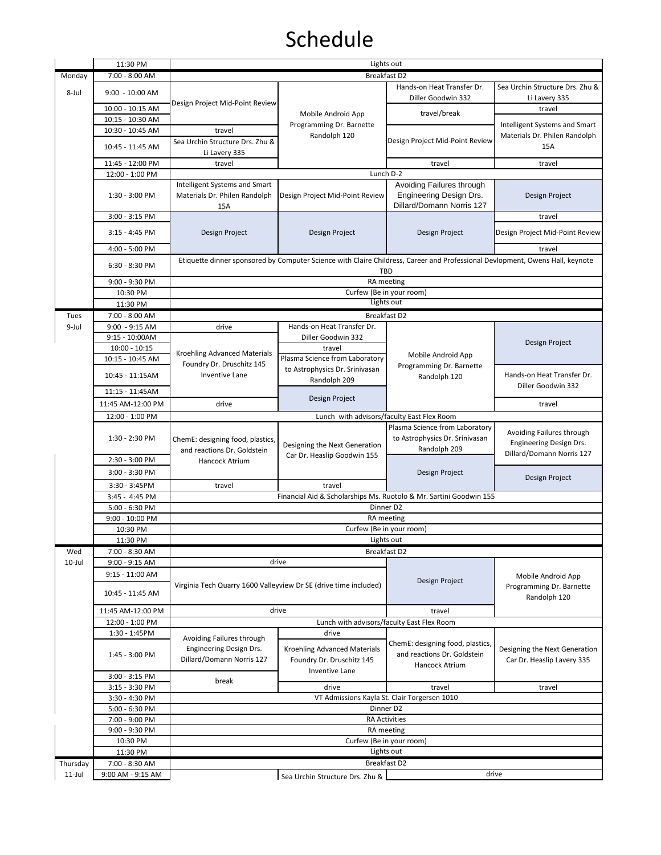|           | 11:30 PM                                                               | Lights out                                                                                                                           |                                                                  |                                                                    |                                                                |  |
|-----------|------------------------------------------------------------------------|--------------------------------------------------------------------------------------------------------------------------------------|------------------------------------------------------------------|--------------------------------------------------------------------|----------------------------------------------------------------|--|
| Monday    | 7:00 - 8:00 AM                                                         | <b>Breakfast D2</b>                                                                                                                  |                                                                  |                                                                    |                                                                |  |
| 8-Jul     |                                                                        |                                                                                                                                      | Mobile Android App<br>Programming Dr. Barnette<br>Randolph 120   | Hands-on Heat Transfer Dr.                                         | Sea Urchin Structure Drs. Zhu &                                |  |
|           | $9:00 - 10:00$ AM                                                      | Design Project Mid-Point Review                                                                                                      |                                                                  | Diller Goodwin 332                                                 | Li Lavery 335                                                  |  |
|           | 10:00 - 10:15 AM                                                       |                                                                                                                                      |                                                                  |                                                                    | travel                                                         |  |
|           | 10:15 - 10:30 AM                                                       |                                                                                                                                      |                                                                  | travel/break                                                       |                                                                |  |
|           | 10:30 - 10:45 AM                                                       | travel                                                                                                                               |                                                                  | Design Project Mid-Point Review                                    | Intelligent Systems and Smart                                  |  |
|           | 10:45 - 11:45 AM                                                       | Sea Urchin Structure Drs. Zhu &                                                                                                      |                                                                  |                                                                    | Materials Dr. Philen Randolph                                  |  |
|           |                                                                        | Li Lavery 335                                                                                                                        |                                                                  |                                                                    | 15A                                                            |  |
|           | 11:45 - 12:00 PM                                                       | travel                                                                                                                               |                                                                  | travel                                                             | travel                                                         |  |
|           | 12:00 - 1:00 PM                                                        |                                                                                                                                      |                                                                  | Lunch D-2                                                          |                                                                |  |
|           |                                                                        | Intelligent Systems and Smart                                                                                                        |                                                                  | Avoiding Failures through                                          |                                                                |  |
|           | 1:30 - 3:00 PM                                                         | Materials Dr. Philen Randolph                                                                                                        | Design Project Mid-Point Review                                  | Engineering Design Drs.                                            | Design Project                                                 |  |
|           |                                                                        | 15A                                                                                                                                  |                                                                  | Dillard/Domann Norris 127                                          |                                                                |  |
|           | 3:00 - 3:15 PM                                                         |                                                                                                                                      |                                                                  |                                                                    | travel                                                         |  |
|           |                                                                        |                                                                                                                                      |                                                                  |                                                                    |                                                                |  |
|           | 3:15 - 4:45 PM                                                         | Design Project                                                                                                                       | Design Project                                                   | Design Project                                                     | Design Project Mid-Point Review                                |  |
|           | 4:00 - 5:00 PM                                                         |                                                                                                                                      |                                                                  |                                                                    | travel                                                         |  |
|           |                                                                        |                                                                                                                                      |                                                                  |                                                                    |                                                                |  |
|           | 6:30 - 8:30 PM                                                         | Etiquette dinner sponsored by Computer Science with Claire Childress, Career and Professional Devlopment, Owens Hall, keynote<br>TBD |                                                                  |                                                                    |                                                                |  |
|           | 9:00 - 9:30 PM                                                         | RA meeting                                                                                                                           |                                                                  |                                                                    |                                                                |  |
|           | 10:30 PM                                                               |                                                                                                                                      |                                                                  | Curfew (Be in your room)                                           |                                                                |  |
|           | 11:30 PM                                                               |                                                                                                                                      |                                                                  | Lights out                                                         |                                                                |  |
| Tues      | 7:00 - 8:00 AM                                                         |                                                                                                                                      |                                                                  | Breakfast D2                                                       |                                                                |  |
| 9-Jul     | 9:00 - 9:15 AM                                                         | drive                                                                                                                                | Hands-on Heat Transfer Dr.                                       |                                                                    |                                                                |  |
|           | $9:15 - 10:00AM$                                                       |                                                                                                                                      | Diller Goodwin 332                                               |                                                                    |                                                                |  |
|           | $10:00 - 10:15$                                                        |                                                                                                                                      | travel                                                           |                                                                    | Design Project                                                 |  |
|           |                                                                        | <b>Kroehling Advanced Materials</b>                                                                                                  |                                                                  | Mobile Android App                                                 |                                                                |  |
|           | 10:15 - 10:45 AM                                                       | Foundry Dr. Druschitz 145                                                                                                            | Plasma Science from Laboratory<br>to Astrophysics Dr. Srinivasan | Programming Dr. Barnette                                           |                                                                |  |
|           | 10:45 - 11:15AM                                                        | <b>Inventive Lane</b>                                                                                                                |                                                                  | Randolph 120                                                       | Hands-on Heat Transfer Dr.                                     |  |
|           |                                                                        |                                                                                                                                      | Randolph 209                                                     |                                                                    | Diller Goodwin 332                                             |  |
|           | 11:15 - 11:45AM                                                        |                                                                                                                                      | Design Project                                                   |                                                                    |                                                                |  |
|           | 11:45 AM-12:00 PM                                                      | drive                                                                                                                                |                                                                  |                                                                    | travel                                                         |  |
|           | 12:00 - 1:00 PM                                                        |                                                                                                                                      |                                                                  | Lunch with advisors/faculty East Flex Room                         |                                                                |  |
|           |                                                                        |                                                                                                                                      |                                                                  | Plasma Science from Laboratory                                     | Avoiding Failures through                                      |  |
|           | 1:30 - 2:30 PM                                                         | ChemE: designing food, plastics,                                                                                                     | Designing the Next Generation                                    | to Astrophysics Dr. Srinivasan                                     | Engineering Design Drs.                                        |  |
|           |                                                                        | and reactions Dr. Goldstein<br>Hancock Atrium                                                                                        | Car Dr. Heaslip Goodwin 155                                      | Randolph 209                                                       | Dillard/Domann Norris 127                                      |  |
|           | 2:30 - 3:00 PM                                                         |                                                                                                                                      |                                                                  |                                                                    |                                                                |  |
|           | 3:00 - 3:30 PM                                                         |                                                                                                                                      |                                                                  | Design Project                                                     | Design Project                                                 |  |
|           | 3:30 - 3:45PM                                                          | travel                                                                                                                               | travel                                                           |                                                                    |                                                                |  |
|           | 3:45 - 4:45 PM                                                         |                                                                                                                                      |                                                                  | Financial Aid & Scholarships Ms. Ruotolo & Mr. Sartini Goodwin 155 |                                                                |  |
|           | 5:00 - 6:30 PM                                                         | Dinner D2                                                                                                                            |                                                                  |                                                                    |                                                                |  |
|           | 9:00 - 10:00 PM                                                        | RA meeting                                                                                                                           |                                                                  |                                                                    |                                                                |  |
|           | 10:30 PM                                                               | Curfew (Be in your room)                                                                                                             |                                                                  |                                                                    |                                                                |  |
|           | 11:30 PM                                                               |                                                                                                                                      |                                                                  | Lights out                                                         |                                                                |  |
| Wed       | 7:00 - 8:30 AM                                                         |                                                                                                                                      |                                                                  |                                                                    |                                                                |  |
| 10-Jul    | 9:00 - 9:15 AM                                                         | drive                                                                                                                                |                                                                  | Breakfast D2                                                       |                                                                |  |
|           | $9:15 - 11:00$ AM                                                      |                                                                                                                                      |                                                                  | Design Project                                                     | Mobile Android App<br>Programming Dr. Barnette<br>Randolph 120 |  |
|           |                                                                        |                                                                                                                                      | Virginia Tech Quarry 1600 Valleyview Dr SE (drive time included) |                                                                    |                                                                |  |
|           | 10:45 - 11:45 AM                                                       |                                                                                                                                      |                                                                  |                                                                    |                                                                |  |
|           |                                                                        |                                                                                                                                      |                                                                  |                                                                    |                                                                |  |
|           | 11:45 AM-12:00 PM                                                      | drive                                                                                                                                |                                                                  | travel                                                             |                                                                |  |
|           | 12:00 - 1:00 PM                                                        |                                                                                                                                      |                                                                  | Lunch with advisors/faculty East Flex Room                         |                                                                |  |
|           | 1:30 - 1:45PM                                                          | Avoiding Failures through                                                                                                            | drive                                                            |                                                                    |                                                                |  |
|           | Engineering Design Drs.<br>1:45 - 3:00 PM<br>Dillard/Domann Norris 127 | <b>Kroehling Advanced Materials</b>                                                                                                  | ChemE: designing food, plastics,                                 | Designing the Next Generation                                      |                                                                |  |
|           |                                                                        |                                                                                                                                      |                                                                  | and reactions Dr. Goldstein                                        | Car Dr. Heaslip Lavery 335                                     |  |
|           |                                                                        | Foundry Dr. Druschitz 145<br><b>Inventive Lane</b>                                                                                   | Hancock Atrium                                                   |                                                                    |                                                                |  |
|           | 3:00 - 3:15 PM                                                         | break                                                                                                                                |                                                                  |                                                                    |                                                                |  |
|           | 3:15 - 3:30 PM                                                         |                                                                                                                                      | drive                                                            | travel                                                             | travel                                                         |  |
|           | 3:30 - 4:30 PM                                                         |                                                                                                                                      |                                                                  | VT Admissions Kayla St. Clair Torgersen 1010                       |                                                                |  |
|           | 5:00 - 6:30 PM<br>Dinner D2                                            |                                                                                                                                      |                                                                  |                                                                    |                                                                |  |
|           | 7:00 - 9:00 PM                                                         |                                                                                                                                      |                                                                  | <b>RA Activities</b>                                               |                                                                |  |
|           | 9:00 - 9:30 PM                                                         |                                                                                                                                      |                                                                  | RA meeting                                                         |                                                                |  |
|           | 10:30 PM                                                               | Curfew (Be in your room)                                                                                                             |                                                                  |                                                                    |                                                                |  |
|           | 11:30 PM                                                               | Lights out                                                                                                                           |                                                                  |                                                                    |                                                                |  |
| Thursday  | 7:00 - 8:30 AM                                                         | Breakfast D2                                                                                                                         |                                                                  |                                                                    |                                                                |  |
| $11$ -Jul | 9:00 AM - 9:15 AM                                                      |                                                                                                                                      | Sea Urchin Structure Drs. Zhu &                                  |                                                                    | drive                                                          |  |
|           |                                                                        |                                                                                                                                      |                                                                  |                                                                    |                                                                |  |